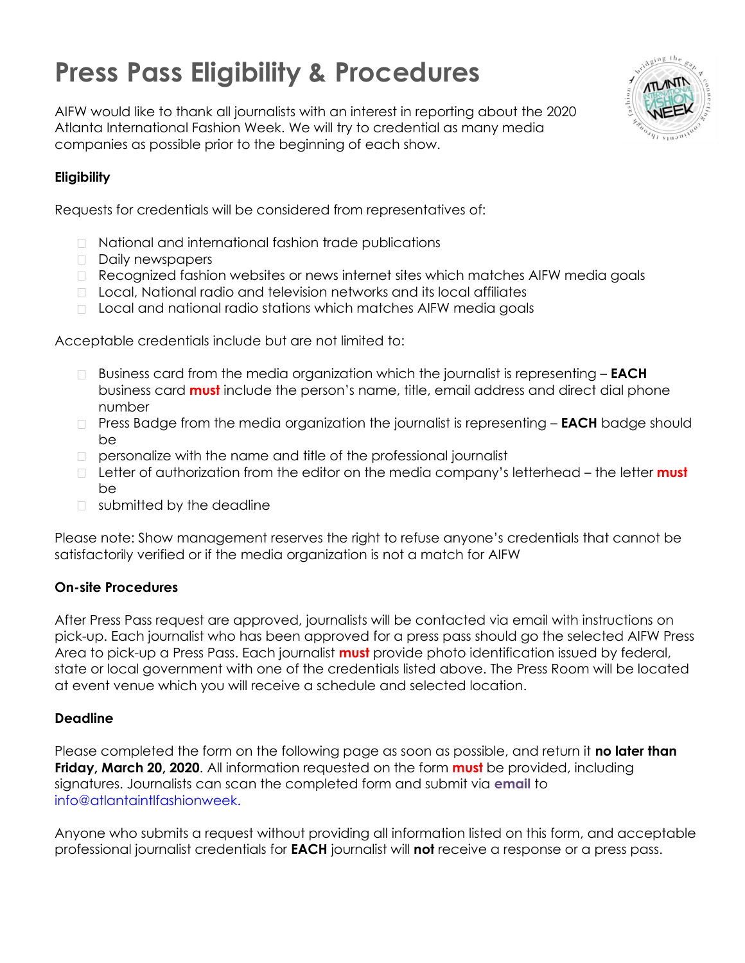## **Press Pass Eligibility & Procedures**



AIFW would like to thank all journalists with an interest in reporting about the 2020 Atlanta International Fashion Week. We will try to credential as many media companies as possible prior to the beginning of each show.

### **Eligibility**

Requests for credentials will be considered from representatives of:

- □ National and international fashion trade publications
- Daily newspapers
- Recognized fashion websites or news internet sites which matches AIFW media goals
- □ Local, National radio and television networks and its local affiliates
- □ Local and national radio stations which matches AIFW media goals

Acceptable credentials include but are not limited to:

- Business card from the media organization which the journalist is representing **EACH**  business card **must** include the person's name, title, email address and direct dial phone number
- Press Badge from the media organization the journalist is representing **EACH** badge should be
- $\Box$  personalize with the name and title of the professional journalist
- Letter of authorization from the editor on the media company's letterhead the letter **must**  be
- **D** submitted by the deadline

Please note: Show management reserves the right to refuse anyone's credentials that cannot be satisfactorily verified or if the media organization is not a match for AIFW

#### **On-site Procedures**

After Press Pass request are approved, journalists will be contacted via email with instructions on pick-up. Each journalist who has been approved for a press pass should go the selected AIFW Press Area to pick-up a Press Pass. Each journalist **must** provide photo identification issued by federal, state or local government with one of the credentials listed above. The Press Room will be located at event venue which you will receive a schedule and selected location.

#### **Deadline**

Please completed the form on the following page as soon as possible, and return it **no later than Friday, March 20, 2020**. All information requested on the form **must** be provided, including signatures. Journalists can scan the completed form and submit via **email** to info@atlantaintlfashionweek.

Anyone who submits a request without providing all information listed on this form, and acceptable professional journalist credentials for **EACH** journalist will **not** receive a response or a press pass.